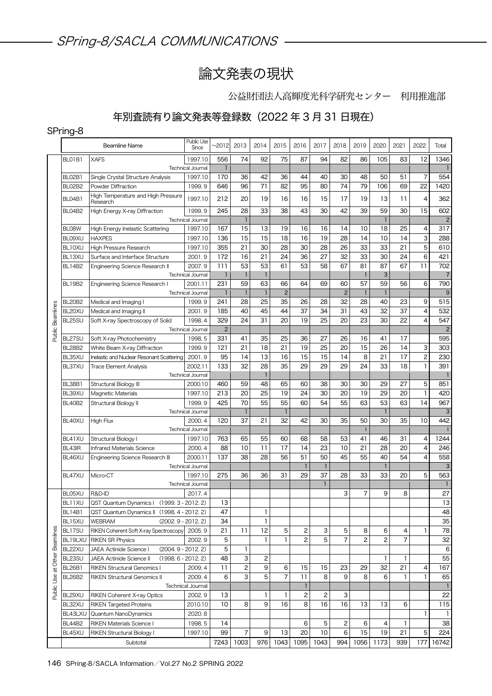# - SPring-8/SACLA COMMUNICATIONS ——————

# 論文発表の現状

公益財団法人高輝度光科学研究センター 利用推進部

## 年別査読有り論文発表等登録数(2022 年 3 月 31 日現在)

#### SPring-8

|                               |                  | <b>Beamline Name</b>                                                                | Public Use<br>Since                | $-2012$    | 2013           | 2014         | 2015           | 2016           | 2017         | 2018           | 2019           | 2020           | 2021           | 2022               | Total                     |
|-------------------------------|------------------|-------------------------------------------------------------------------------------|------------------------------------|------------|----------------|--------------|----------------|----------------|--------------|----------------|----------------|----------------|----------------|--------------------|---------------------------|
|                               | BLO1B1           | <b>XAFS</b>                                                                         | 1997.10                            | 556        | 74             | 92           | 75             | 87             | 94           | 82             | 86             | 105            | 83             | 12                 | 1346                      |
|                               |                  |                                                                                     | Technical Journal                  | 1          |                |              |                |                |              |                |                |                |                |                    | -1                        |
|                               | BL02B1           | Single Crystal Structure Analysis                                                   | 1997.10                            | 170        | 36             | 42           | 36             | 44             | 40           | 30             | 48             | 50             | 51             | $\overline{7}$     | 554                       |
|                               | BL02B2           | Powder Diffraction                                                                  | 1999.9                             | 646        | 96             | 71           | 82             | 95             | 80           | 74             | 79             | 106            | 69             | 22                 | 1420                      |
|                               | BL04B1           | High Temperature and High Pressure<br>Research                                      | 1997.10                            | 212        | 20             | 19           | 16             | 16             | 15           | 17             | 19             | 13             | 11             | $\overline{4}$     | 362                       |
|                               | <b>BL04B2</b>    | High Energy X-ray Diffraction                                                       | 1999.9                             | 245        | 28             | 33           | 38             | 43             | 30           | 42             | 39             | 59             | 30             | 15                 | 602                       |
|                               |                  |                                                                                     | Technical Journal                  |            | $\mathbf{1}$   |              |                |                |              |                |                | $\mathbf{I}$   |                |                    | $\overline{c}$            |
|                               | BL08W            | High Energy Inelastic Scattering                                                    | 1997.10                            | 167        | 15             | 13           | 19             | 16             | 16           | 14             | 10             | 18             | 25             | 4                  | 317                       |
|                               | BL09XU           | <b>HAXPES</b>                                                                       | 1997.10                            | 136        | 15             | 15           | 18             | 16             | 19           | 28             | 14             | 10             | 14             | 3                  | 288                       |
|                               | BL10XU           | High Pressure Research                                                              | 1997.10                            | 355        | 21             | 30           | 28             | 30             | 28           | 26             | 33             | 33             | 21             | 5                  | 610                       |
|                               | BL13XU           | Surface and Interface Structure                                                     | 2001.9                             | 172        | 16<br>53       | 21<br>53     | 24<br>61       | 36<br>53       | 27           | 32<br>67       | 33<br>81       | 30             | 24<br>67       | 6<br>11            | 421<br>702                |
|                               | <b>BL14B2</b>    | Engineering Science Research II                                                     | 2007.9<br><b>Technical Journal</b> | 111<br>1   | $\mathbf{1}$   | $\mathbf{I}$ |                |                | 58           |                | 1              | 87<br>3        |                |                    | $\overline{7}$            |
|                               | <b>BL19B2</b>    | Engineering Science Research I                                                      | 2001.11                            | 231        | 59             | 63           | 66             | 64             | 69           | 60             | 57             | 59             | 56             | 6                  | 790                       |
|                               |                  |                                                                                     | <b>Technical Journal</b>           | 1          | $\mathbf{1}$   | $\mathbf{I}$ | $\overline{c}$ |                |              | $\overline{2}$ | 1              | 1              |                |                    | $9$                       |
|                               | <b>BL20B2</b>    | Medical and Imaging I                                                               | 1999.9                             | 241        | 28             | 25           | 35             | 26             | 28           | 32             | 28             | 40             | 23             | 9                  | 515                       |
| Public Beamlines              | BL20XU           | Medical and Imaging II                                                              | 2001.9                             | 185        | 40             | 45           | 44             | 37             | 34           | 31             | 43             | 32             | 37             | 4                  | 532                       |
|                               | BL25SU           | Soft X-ray Spectroscopy of Solid                                                    | 1998.4                             | 329        | 24             | 31           | 20             | 19             | 25           | 20             | 23             | 30             | 22             | $\overline{4}$     | 547                       |
|                               |                  |                                                                                     | Technical Journal                  | 2          |                |              |                |                |              |                |                |                |                |                    | $\overline{c}$            |
|                               | BL27SU           | Soft X-ray Photochemistry                                                           | 1998.5                             | 331        | 41             | 35           | 25             | 36             | 27           | 26             | 16             | 41             | 17             |                    | 595                       |
|                               | <b>BL28B2</b>    | White Beam X-ray Diffraction                                                        | 1999.9                             | 121        | 21             | 18           | 21             | 19             | 25           | 20             | 15             | 26             | 14             | 3                  | 303                       |
|                               | BL35XU           | Inelastic and Nuclear Resonant Scattering                                           | 2001.9                             | 95         | 14             | 13           | 16             | 15             | 15           | 14             | 8              | 21             | 17             | $\overline{c}$     | 230                       |
|                               | BL37XU           | <b>Trace Element Analysis</b>                                                       | 2002.11                            | 133        | 32             | 28           | 35             | 29             | 29           | 29             | 24             | 33             | 18             | $\mathbf{I}$       | 391                       |
|                               |                  |                                                                                     | Technical Journal                  |            |                | $\mathbf{I}$ |                |                |              |                |                |                |                |                    | $\mathbf{I}$              |
|                               | BL38B1           | Structural Biology III                                                              | 2000.10                            | 460        | 59             | 48           | 65             | 60             | 38           | 30             | 30             | 29             | 27             | 5                  | 851                       |
|                               | BL39XU           | <b>Magnetic Materials</b>                                                           | 1997.10                            | 213<br>425 | 20<br>70       | 25<br>55     | 19<br>55       | 24<br>60       | 30<br>54     | 20<br>55       | 19<br>63       | 29<br>53       | 20<br>63       | $\mathbf{I}$<br>14 | 420<br>967                |
|                               | <b>BL40B2</b>    | Structural Biology II                                                               | 1999.9<br><b>Technical Journal</b> |            | $\mathbf{1}$   |              | 1              |                |              |                |                | 1              |                |                    | $\ensuremath{\mathsf{3}}$ |
|                               | BL40XU           | High Flux                                                                           | 2000.4                             | 120        | 37             | 21           | 32             | 42             | 30           | 35             | 50             | 30             | 35             | 10                 | 442                       |
|                               |                  |                                                                                     | Technical Journal                  |            |                |              |                |                |              |                | $\mathbf{1}$   |                |                |                    | $\mathbf{1}$              |
|                               | BL41XU           | Structural Biology I                                                                | 1997.10                            | 763        | 65             | 55           | 60             | 68             | 58           | 53             | 41             | 46             | 31             | 4                  | 1244                      |
|                               | BL43IR           | Infrared Materials Science                                                          | 2000.4                             | 88         | 10             | 11           | 17             | 14             | 23           | 10             | 21             | 28             | 20             | $\overline{4}$     | 246                       |
|                               | BL46XU           | Engineering Science Research III                                                    | 2000.11                            | 137        | 38             | 28           | 56             | 51             | 50           | 45             | 55             | 40             | 54             | 4                  | 558                       |
|                               |                  |                                                                                     | Technical Journal                  |            |                |              |                | $\mathbf{1}$   | 1            |                |                | $\mathbf{1}$   |                |                    | 3                         |
|                               | BL47XU           | Micro-CT                                                                            | 1997.10                            | 275        | 36             | 36           | 31             | 29             | 37           | 28             | 33             | 33             | 20             | 5                  | 563                       |
|                               |                  |                                                                                     | <b>Technical Journal</b>           |            |                |              |                |                | $\mathbf{1}$ |                |                |                |                |                    | $\mathbf{1}$              |
|                               | BL05XU           | R&D-ID                                                                              | 2017.4                             |            |                |              |                |                |              | 3              | $\overline{7}$ | 9              | 8              |                    | 27                        |
|                               | <b>BL11XU</b>    | QST Quantum Dynamics   (1999. 3 - 2012. 2)                                          |                                    | 13         |                |              |                |                |              |                |                |                |                |                    | 13                        |
|                               | BL14B1<br>BL15XU | QST Quantum Dynamics II (1998. 4 - 2012. 2)<br><b>WEBRAM</b><br>$(2002.9 - 2012.2)$ |                                    | 47<br>34   |                | 1<br>1       |                |                |              |                |                |                |                |                    | 48<br>35                  |
|                               | BL17SU           | RIKEN Coherent Soft X-ray Spectroscopy                                              | 2005.9                             | 21         | 11             | 12           | 5              | 2              | 3            | 5              | 8              | 6              | 4              | 1                  | 78                        |
|                               | BL19LXU          | <b>RIKEN SR Physics</b>                                                             | 2002.9                             | 5          |                | 1            | $\mathbf{I}$   | $\overline{c}$ | 5            | $\overline{7}$ | $\overline{c}$ | $\overline{c}$ | $\overline{7}$ |                    | 32                        |
|                               | BL22XU           | JAEA Actinide Science I<br>$(2004.9 - 2012.2)$                                      |                                    | 5          | 1              |              |                |                |              |                |                |                |                |                    | 6                         |
|                               | BL23SU           | JAEA Actinide Science II<br>$(1998.6 - 2012.2)$                                     |                                    | 48         | 3              | 2            |                |                |              |                |                | $\mathbf{1}$   | 1              |                    | 55                        |
| Public Use at Other Beamlines | <b>BL26B1</b>    | RIKEN Structural Genomics I                                                         | 2009.4                             | 11         | $\mathbf{2}$   | 9            | 6              | 15             | 15           | 23             | 29             | 32             | 21             | 4                  | 167                       |
|                               | <b>BL26B2</b>    | RIKEN Structural Genomics II                                                        | 2009.4                             | 6          | 3              | 5            | $\overline{7}$ | 11             | 8            | 9              | 8              | 6              | 1              | $\mathbf{I}$       | 65                        |
|                               |                  |                                                                                     | Technical Journal                  |            |                |              |                | 1              |              |                |                |                |                |                    |                           |
|                               | BL29XU           | <b>RIKEN Coherent X-ray Optics</b>                                                  | 2002.9                             | 13         |                | 1            | 1              | 2              | 2            | 3              |                |                |                |                    | 22                        |
|                               | BL32XU           | <b>RIKEN Targeted Proteins</b>                                                      | 2010.10                            | 10         | 8              | 9            | 16             | 8              | 16           | 16             | 13             | 13             | 6              |                    | 115                       |
|                               | BL43LXU          | Quantum NanoDynamics                                                                | 2020.8                             |            |                |              |                |                |              |                |                |                |                | $\mathbf{I}$       | -1                        |
|                               | <b>BL44B2</b>    | RIKEN Materials Science I                                                           | 1998.5                             | 14         |                |              |                | 6              | 5            | 2              | 6              | 4              | 1              |                    | 38                        |
|                               | BL45XU           | RIKEN Structural Biology I                                                          | 1997.10                            | 99         | $\overline{7}$ | 9            | 13             | 20             | 10           | 6              | 15             | 19             | 21             | 5                  | 224                       |
|                               |                  | Subtotal                                                                            |                                    | 7243       | 1003           | 976          | 1043           | 1095           | 1043         | 994            | 1056           | 1173           | 939            | 177                | 16742                     |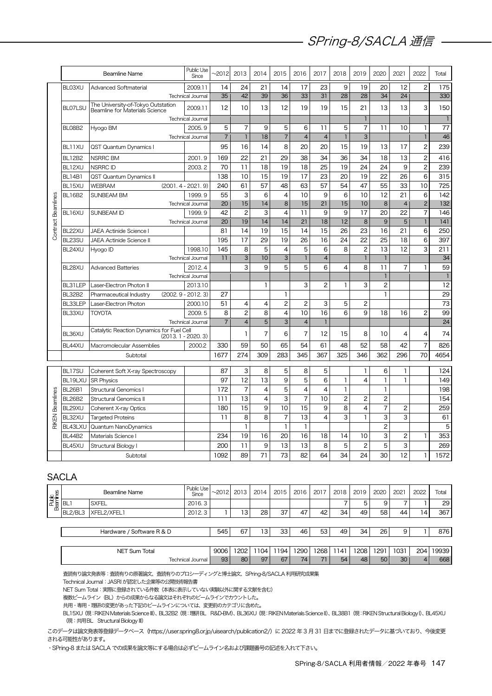|                        |               | <b>Beamline Name</b>                                                 | Public Use<br>Since      | $-2012$        | 2013                    | 2014            | 2015                             | 2016            | 2017           | 2018           | 2019            | 2020            | 2021            | 2022           | Total                 |
|------------------------|---------------|----------------------------------------------------------------------|--------------------------|----------------|-------------------------|-----------------|----------------------------------|-----------------|----------------|----------------|-----------------|-----------------|-----------------|----------------|-----------------------|
|                        | BL03XU        | <b>Advanced Softmaterial</b>                                         | 2009.11                  | 14             | 24                      | 21              | 14                               | 17              | 23             | 9              | 19              | 20              | 12              | $\overline{2}$ | 175                   |
|                        |               |                                                                      | Technical Journal        | 35             | 42                      | 39              | 36                               | 33              | 31             | 28             | 28              | 34              | 24              |                | 330                   |
|                        | BL07LSU       | The University-of-Tokyo Outstation<br>Beamline for Materials Science | 2009.11                  | 12             | 10                      | 13              | 12                               | 19              | 19             | 15             | 21              | 13              | 13              | 3              | 150                   |
|                        |               |                                                                      | Technical Journal        |                |                         |                 |                                  |                 |                |                | $\mathbf{1}$    |                 |                 |                | $\mathbf{I}$          |
|                        | BL08B2        | Hyogo BM                                                             | 2005.9                   | 5              | $\overline{7}$          | 9               | 5                                | 6               | 11             | 5              | $\overline{7}$  | 11              | 10              | $\mathbf{I}$   | 77                    |
|                        |               |                                                                      | <b>Technical Journal</b> | $\overline{7}$ | $\mathbf{1}$            | 18              | $\overline{7}$                   | $\overline{4}$  | $\overline{4}$ | $\mathbf{I}$   | 3               |                 |                 | $\mathbf{I}$   | 46                    |
|                        | BL11XU        | <b>QST Quantum Dynamics I</b>                                        |                          | 95             | 16                      | 14              | 8                                | 20              | 20             | 15             | 19              | 13              | 17              | $\overline{c}$ | 239                   |
|                        | <b>BL12B2</b> | NSRRC BM                                                             | 2001.9                   | 169            | 22                      | 21              | 29                               | 38              | 34             | 36             | 34              | 18              | 13              | $\overline{c}$ | 416                   |
|                        | BL12XU        | <b>NSRRC ID</b>                                                      | 2003.2                   | 70             | 11                      | 18              | 19                               | 18              | 25             | 19             | 24              | 24              | 9               | $\overline{c}$ | 239                   |
|                        | <b>BL14B1</b> | <b>QST Quantum Dynamics II</b>                                       |                          | 138            | 10                      | 15              | 19                               | 17              | 23             | 20             | 19              | 22              | 26              | 6              | 315                   |
|                        | BL15XU        | <b>WEBRAM</b>                                                        | $(2001.4 - 2021.9)$      | 240            | 61                      | 57              | 48                               | 63              | 57             | 54             | 47              | 55              | 33              | 10             | 725                   |
|                        | <b>BL16B2</b> | <b>SUNBEAM BM</b>                                                    | 1999.9                   | 55             | 3                       | 6               | 4                                | 10              | 9              | 6              | 10              | 12              | 21              | 6              | 142                   |
| Contract Beamlines     |               |                                                                      | Technical Journal        | 20             | 15                      | 14              | 8                                | 15              | 21             | 15             | 10              | 8               | $\overline{4}$  | $\overline{2}$ | 132                   |
|                        | BL16XU        | <b>SUNBEAM ID</b>                                                    | 1999.9                   | 42             | $\overline{c}$          | 3               | $\overline{4}$                   | 11              | 9              | 9              | 17              | 20              | 22              | $\overline{7}$ | 146                   |
|                        |               |                                                                      | <b>Technical Journal</b> | 20             | 19                      | 14              | 14                               | $\overline{21}$ | 18             | 12             | 8               | 9               | 5               | $\mathbf{I}$   | $\overline{141}$      |
|                        | BL22XU        | JAEA Actinide Science I                                              |                          | 81             | 14                      | 19              | 15                               | 14              | 15             | 26             | 23              | 16              | 21              | 6              | 250                   |
|                        | BL23SU        | JAEA Actinide Science II                                             |                          | 195            | $\overline{17}$         | $\overline{29}$ | $\overline{19}$                  | $\overline{26}$ | 16             | 24             | $\overline{22}$ | $\overline{25}$ | 18              | 6              | 397                   |
|                        | BL24XU        | Hyogo ID                                                             | 1998.10                  | 145            | 8                       | 5               | $\overline{4}$                   | 5               | 6              | 8              | $\overline{2}$  | 13              | $\overline{12}$ | 3              | 211                   |
|                        |               |                                                                      | <b>Technical Journal</b> | 11             | 3                       | 10              | 3                                | $\overline{1}$  | $\overline{4}$ |                | $\mathbf{I}$    | $\mathbf{I}$    |                 |                | 34                    |
|                        | BL28XU        | <b>Advanced Batteries</b>                                            | 2012.4                   |                | 3                       | 9               | 5                                | 5               | 6              | 4              | 8               | 11              | $\overline{7}$  | $\mathbf{I}$   | 59                    |
|                        |               |                                                                      | <b>Technical Journal</b> |                |                         |                 |                                  |                 |                |                |                 | $\mathbf{1}$    |                 |                | $\mathbf{I}$          |
|                        | BL31LEP       | Laser-Electron Photon II                                             | 2013.10                  |                |                         | 1               |                                  | 3               | $\overline{c}$ | $\mathbf{I}$   | 3               | $\overline{c}$  |                 |                | 12                    |
|                        | <b>BL32B2</b> | Pharmaceutical Industry                                              | $(2002.9 - 2012.3)$      | 27             |                         |                 | $\mathbf{I}$                     |                 |                |                |                 | $\mathbf{I}$    |                 |                | 29                    |
|                        | BL33LEP       | Laser-Electron Photon                                                | 2000.10                  | 51             | $\overline{4}$          | 4               | $\overline{c}$                   | $\overline{c}$  | 3              | 5              | $\overline{c}$  |                 |                 |                | $\overline{73}$       |
|                        | BL33XU        | <b>TOYOTA</b>                                                        | 2009.5                   | 8              | $\overline{c}$          | 8               | $\overline{4}$<br>$\overline{3}$ | 10              | 16             | 6              | 9               | 18              | 16              | $\overline{c}$ | 99<br>$\overline{24}$ |
|                        |               | Catalytic Reaction Dynamics for Fuel Cell                            | <b>Technical Journal</b> | $\overline{7}$ | $\overline{\mathbf{4}}$ | 5               |                                  | $\overline{4}$  | $\mathbf{I}$   |                |                 |                 |                 |                |                       |
|                        | BL36XU        |                                                                      | $(2013.1 - 2020.3)$      |                | $\mathbf{I}$            | $\overline{7}$  | 6                                | $\overline{7}$  | 12             | 15             | 8               | 10              | 4               | $\overline{4}$ | 74                    |
|                        | BL44XU        | Macromolecular Assemblies                                            | 2000.2                   | 330            | 59                      | 50              | 65                               | 54              | 61             | 48             | 52              | 58              | 42              | $\overline{7}$ | 826                   |
|                        |               | Subtotal                                                             |                          | 1677           | 274                     | 309             | 283                              | 345             | 367            | 325            | 346             | 362             | 296             | 70             | 4654                  |
|                        | BL17SU        | Coherent Soft X-ray Spectroscopy                                     |                          | 87             | 3                       | 8               | 5                                | 8               | 5              |                | $\mathbf{I}$    | 6               | 1               |                | 124                   |
|                        | BL19LXU       | <b>SR Physics</b>                                                    |                          | 97             | $\overline{12}$         | $\overline{13}$ | $\overline{9}$                   | 5               | 6              | $\mathbf{I}$   | 4               | $\mathbf{I}$    | <sub>1</sub>    |                | 149                   |
|                        | <b>BL26B1</b> | Structural Genomics I                                                |                          | 172            | $\overline{7}$          | 4               | 5                                | $\overline{4}$  | $\overline{4}$ | $\mathbf{I}$   |                 | $\mathbf{I}$    |                 |                | 198                   |
| <b>RIKEN Beamlines</b> | <b>BL26B2</b> | Structural Genomics II                                               |                          | 111            | 13                      | 4               | $\overline{3}$                   | $\overline{7}$  | 10             | $\overline{c}$ | $\overline{c}$  | $\overline{c}$  |                 |                | 154                   |
|                        | BL29XU        | Coherent X-ray Optics                                                |                          | 180            | 15                      | 9               | 10                               | 15              | 9              | 8              | 4               | $\overline{7}$  | $\overline{c}$  |                | 259                   |
|                        | BL32XU        | <b>Targeted Proteins</b>                                             |                          | 11             | 8                       | 8               | $\overline{7}$                   | 13              | $\overline{4}$ | 3              | $\mathbf{I}$    | 3               | 3               |                | 61                    |
|                        | BL43LXU       |                                                                      |                          |                | $\mathbf{I}$            |                 | $\mathbf{I}$                     | $\mathbf{I}$    |                |                |                 | $\overline{c}$  |                 |                | 5                     |
|                        |               | Quantum NanoDynamics<br>Materials Science I                          |                          | 234            | 19                      | 16              | 20                               | 16              | 18             | 14             | 10              | 3               | $\overline{c}$  | $\mathbf{I}$   | 353                   |
|                        | <b>BL44B2</b> |                                                                      |                          |                |                         |                 |                                  |                 |                | 5              | $\overline{c}$  | 5               |                 |                |                       |
|                        | BL45XU        | Structural Biology I                                                 |                          | 200            | 11                      | 9               | 13                               | 13              | 8              |                |                 |                 | 3               |                | 269                   |
|                        |               | Subtotal                                                             |                          | 1092           | 89                      | 71              | 73                               | 82              | 64             | 34             | 24              | 30              | 12              | $\mathbf{I}$   | 1572                  |

### **SACLA**

| '용主<br>∣⊄ ⊠ |           | Beamline Name             | Public Use<br>Since | $\sim$ 2012 2013 |    | 2014 |    | 2015 2016 | 2017 | 2018 2019 |    | 2020 | 2021 | 2022 | Total |
|-------------|-----------|---------------------------|---------------------|------------------|----|------|----|-----------|------|-----------|----|------|------|------|-------|
|             | <b>BL</b> | <b>SXFEL</b>              | 2016.3              |                  |    |      |    |           |      |           | h  |      |      |      | 29 I  |
| Ñ           | BL2/BL3   | XFEL2/XFEL1               | 2012.3              |                  | 13 | 28   | 37 |           | 42   | 34        | 49 | 58   | 44   | ۱4   | 367   |
|             |           |                           |                     |                  |    |      |    |           |      |           |    |      |      |      |       |
|             |           | Hardware / Software R & D |                     | 545              | 67 | 13   | 33 | 46        | 53   | 49        | 34 | 26   | 9    |      | 876   |
|             |           |                           |                     |                  |    |      |    |           |      |           |    |      |      |      |       |

| Total<br>NE<br>`Sum | 9006 | 202<br>-se | $\overline{\phantom{a}}$ $\alpha$ | 194           | $290^{\circ}$ | 268                      | - -<br>IΔ | 208 | 291 | $\sim$<br>.<br>ບບ | 204          | 19939 |
|---------------------|------|------------|-----------------------------------|---------------|---------------|--------------------------|-----------|-----|-----|-------------------|--------------|-------|
| lechnical Journal   | 93   | 80         | 97                                | $\sim$<br>ו ס | 74            | $\overline{\phantom{a}}$ | ьΛ        | 48  | 50  | 30                | $\mathbf{A}$ | 668   |

査読有り論文発表等:査読有りの原著論文、査読有りのプロシーディングと博士論文、SPring-8/SACLA利用研究成果集

Technical Journal: JASRI が認定した企業等の公開技術報告書

NET Sum Total:実際に登録されている件数(本表に表示していない実験以外に関する文献を含む)

. -\_\_ -\_\_. .<br>複数ビームライン (BL) からの成果からなる論文はそれぞれのビームラインでカウントした。

共用・専用・理研の変更があった下記のビームラインについては、変更前のカテゴリに含めた。

BL15XU(現:RIKEN Materials Science III)、BL32B2(現:理研BL R&D-BM)、BL36XU(現:RIKEN Materials Science II)、BL38B1(現:RIKEN Structural Biology I)、BL45XU (現:共用BL Structural Biology III)

このデータは論文発表等登録データベース (https://user.spring8.or.jp/uisearch/publication2/)に2022 年3 月31 日までに登録されたデータに基づいており、今後変更 される可能性があります。

・SPring-8またはSACLAでの成果を論文等にする場合は必ずビームライン名および課題番号の記述を入れて下さい。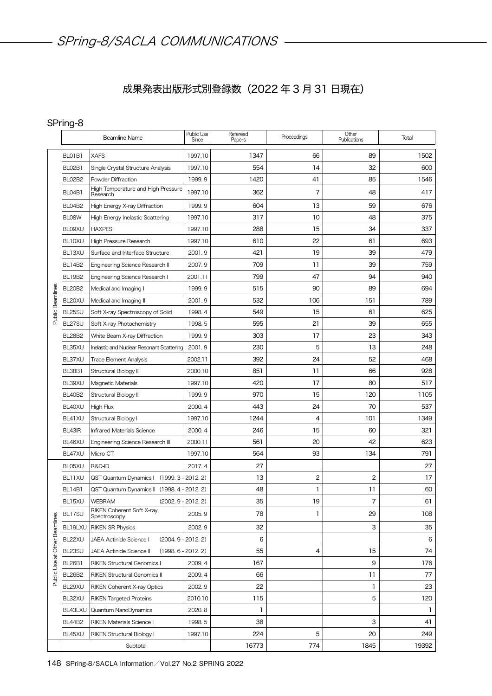## 成果発表出版形式別登録数(2022 年 3 月 31 日現在)

## SPring-8

|                               |               | <b>Beamline Name</b>                            | Public Use<br>Since | Refereed<br>Papers | Proceedings | Other<br>Publications | Total        |
|-------------------------------|---------------|-------------------------------------------------|---------------------|--------------------|-------------|-----------------------|--------------|
|                               | BL01B1        | <b>XAFS</b>                                     | 1997.10             | 1347               | 66          | 89                    | 1502         |
|                               | BL02B1        | Single Crystal Structure Analysis               | 1997.10             | 554                | 14          | 32                    | 600          |
|                               | BL02B2        | Powder Diffraction                              | 1999.9              | 1420               | 41          | 85                    | 1546         |
|                               | BL04B1        | High Temperature and High Pressure<br>Research  | 1997.10             | 362                | 7           | 48                    | 417          |
|                               | <b>BL04B2</b> | High Energy X-ray Diffraction                   | 1999.9              | 604                | 13          | 59                    | 676          |
|                               | BL08W         | High Energy Inelastic Scattering                | 1997.10             | 317                | 10          | 48                    | 375          |
|                               | BL09XU        | <b>HAXPES</b>                                   | 1997.10             | 288                | 15          | 34                    | 337          |
|                               | <b>BL10XU</b> | High Pressure Research                          | 1997.10             | 610                | 22          | 61                    | 693          |
|                               | BL13XU        | Surface and Interface Structure                 | 2001.9              | 421                | 19          | 39                    | 479          |
|                               | <b>BL14B2</b> | Engineering Science Research II                 | 2007.9              | 709                | 11          | 39                    | 759          |
|                               | <b>BL19B2</b> | Engineering Science Research I                  | 2001.11             | 799                | 47          | 94                    | 940          |
|                               | <b>BL20B2</b> | Medical and Imaging I                           | 1999.9              | 515                | 90          | 89                    | 694          |
| Public Beamlines              | BL20XU        | Medical and Imaging II                          | 2001.9              | 532                | 106         | 151                   | 789          |
|                               | BL25SU        | Soft X-ray Spectroscopy of Solid                | 1998.4              | 549                | 15          | 61                    | 625          |
|                               | BL27SU        | Soft X-ray Photochemistry                       | 1998.5              | 595                | 21          | 39                    | 655          |
|                               | <b>BL28B2</b> | White Beam X-ray Diffraction                    | 1999.9              | 303                | 17          | 23                    | 343          |
|                               | BL35XU        | Inelastic and Nuclear Resonant Scattering       | 2001.9              | 230                | 5           | 13                    | 248          |
|                               | BL37XU        | <b>Trace Element Analysis</b>                   | 2002.11             | 392                | 24          | 52                    | 468          |
|                               | BL38B1        | Structural Biology III                          | 2000.10             | 851                | 11          | 66                    | 928          |
|                               | BL39XU        | Magnetic Materials                              | 1997.10             | 420                | 17          | 80                    | 517          |
|                               | <b>BL40B2</b> | Structural Biology II                           | 1999.9              | 970                | 15          | 120                   | 1105         |
|                               | BL40XU        | High Flux                                       | 2000.4              | 443                | 24          | 70                    | 537          |
|                               | BL41XU        | Structural Biology I                            | 1997.10             | 1244               | 4           | 101                   | 1349         |
|                               | BL43IR        | Infrared Materials Science                      | 2000.4              | 246                | 15          | 60                    | 321          |
|                               | BL46XU        | Engineering Science Research III                | 2000.11             | 561                | 20          | 42                    | 623          |
|                               | BL47XU        | Micro-CT                                        | 1997.10             | 564                | 93          | 134                   | 791          |
|                               | BL05XU        | R&D-ID                                          | 2017.4              | 27                 |             |                       | 27           |
|                               | BL11XU        | QST Quantum Dynamics   (1999. 3 - 2012. 2)      |                     | 13                 | 2           | $\mathbf{2}$          | 17           |
|                               | <b>BL14B1</b> | QST Quantum Dynamics II (1998. 4 - 2012. 2)     |                     | 48                 | 1           | 11                    | 60           |
|                               | BL15XU        | WEBRAM<br>$(2002.9 - 2012.2)$                   |                     | 35                 | 19          | 7                     | 61           |
|                               | BL17SU        | RIKEN Coherent Soft X-ray<br>Spectroscopy       | 2005.9              | 78                 | 1           | 29                    | 108          |
|                               | BL19LXU       | <b>RIKEN SR Physics</b>                         | 2002.9              | 32                 |             | 3                     | 35           |
|                               | BL22XU        | JAEA Actinide Science I<br>$(2004.9 - 2012.2)$  |                     | 6                  |             |                       | 6            |
|                               | BL23SU        | JAEA Actinide Science II<br>$(1998.6 - 2012.2)$ |                     | 55                 | 4           | 15                    | 74           |
| Public Use at Other Beamlines | <b>BL26B1</b> | RIKEN Structural Genomics I                     | 2009.4              | 167                |             | 9                     | 176          |
|                               | <b>BL26B2</b> | RIKEN Structural Genomics II                    | 2009.4              | 66                 |             | 11                    | 77           |
|                               | BL29XU        | RIKEN Coherent X-ray Optics                     | 2002.9              | 22                 |             | 1                     | 23           |
|                               | BL32XU        | <b>RIKEN Targeted Proteins</b>                  | 2010.10             | 115                |             | 5                     | 120          |
|                               | BL43LXU       | Quantum NanoDynamics                            | 2020.8              | 1                  |             |                       | $\mathbf{1}$ |
|                               | <b>BL44B2</b> | RIKEN Materials Science I                       | 1998.5              | 38                 |             | 3                     | 41           |
|                               | BL45XU        | RIKEN Structural Biology I                      | 1997.10             | 224                | 5           | 20                    | 249          |
|                               |               | Subtotal                                        |                     | 16773              | 774         | 1845                  | 19392        |

148 SPring-8/SACLA Information/Vol.27 No.2 SPRING 2022